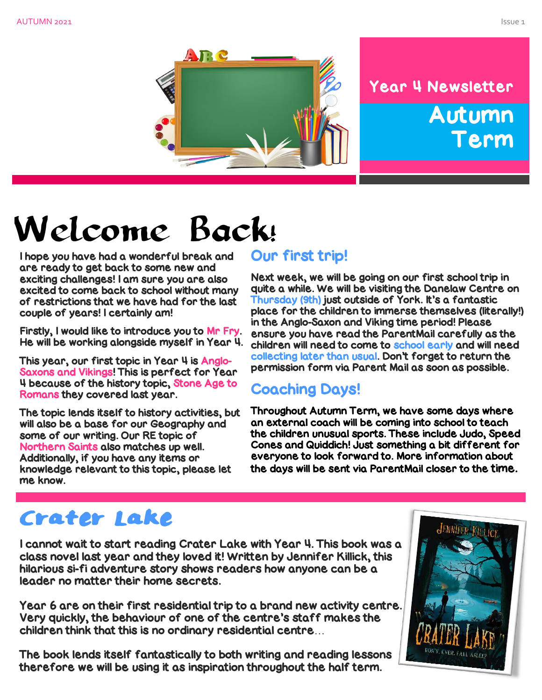

# Year 4 Newsletter Autumn Term

# Welcome Back!

I hope you have had a wonderful break and are ready to get back to some new and exciting challenges! I am sure you are also excited to come back to school without many of restrictions that we have had for the last couple of years! I certainly am!

Firstly, I would like to introduce you to Mr Fry. He will be working alongside myself in Year 4.

This year, our first topic in Year 4 is Anglo-Saxons and Vikings! This is perfect for Year 4 because of the history topic, Stone Age to Romans they covered last year.

The topic lends itself to history activities, but will also be a base for our Geography and some of our writing. Our RE topic of Northern Saints also matches up well. Additionally, if you have any items or knowledge relevant to this topic, please let me know.

#### Our first trip!

Next week, we will be going on our first school trip in quite a while. We will be visiting the Danelaw Centre on Thursday (9th) just outside of York. It's a fantastic place for the children to immerse themselves (literally!) in the Anglo-Saxon and Viking time period! Please ensure you have read the ParentMail carefully as the children will need to come to school early and will need collecting later than usual. Don't forget to return the permission form via Parent Mail as soon as possible.

#### Coaching Days!

Throughout Autumn Term, we have some days where an external coach will be coming into school to teach the children unusual sports. These include Judo, Speed Cones and Quiddich! Just something a bit different for everyone to look forward to. More information about the days will be sent via ParentMail closer to the time.

# Crater Lake

I cannot wait to start reading Crater Lake with Year 4. This book was a class novel last year and they loved it! Written by Jennifer Killick, this hilarious si-fi adventure story shows readers how anyone can be a leader no matter their home secrets.

Year 6 are on their first residential trip to a brand new activity centre. Very quickly, the behaviour of one of the centre's staff makes the children think that this is no ordinary residential centre…

The book lends itself fantastically to both writing and reading lessons therefore we will be using it as inspiration throughout the half term.